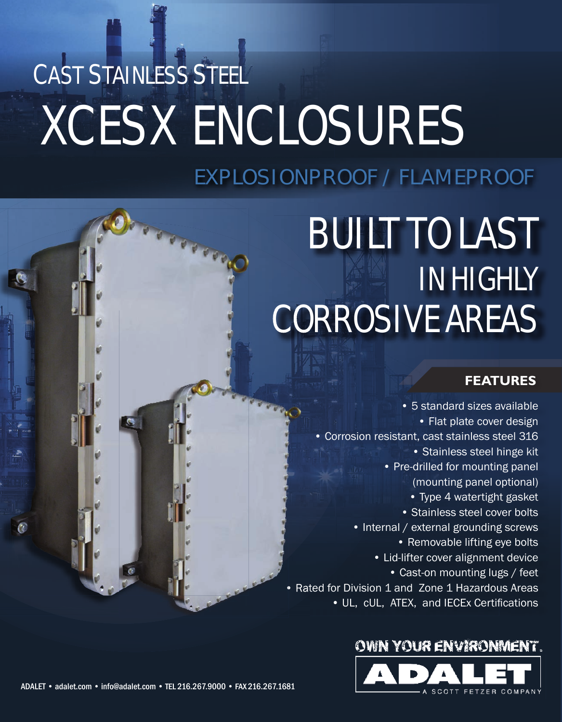# CAST STAINLESS STEEL XCESX ENCLOSURES

### EXPLOSIONPROOF / FLAMEPROOF

## BUILT TO LAST IN HIGHLY CORROSIVE AREAS

#### **FEATURES**

• 5 standard sizes available • Flat plate cover design • Corrosion resistant, cast stainless steel 316 • Stainless steel hinge kit • Pre-drilled for mounting panel (mounting panel optional) • Type 4 watertight gasket • Stainless steel cover bolts • Internal / external grounding screws • Removable lifting eye bolts • Lid-lifter cover alignment device • Cast-on mounting lugs / feet • Rated for Division 1 and Zone 1 Hazardous Areas • UL, cUL, ATEX, and IECEx Certifications

#### OWN YOUR ENVIRONMENT.